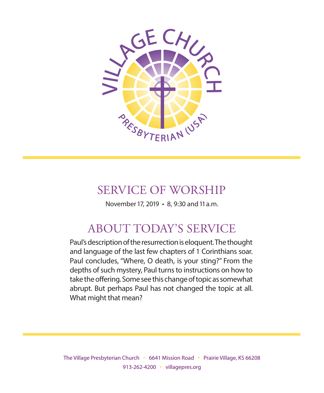

# SERVICE OF WORSHIP

November 17, 2019 • 8, 9:30 and 11 a.m.

# ABOUT TODAY'S SERVICE

Paul's description of the resurrection is eloquent. The thought and language of the last few chapters of 1 Corinthians soar. Paul concludes, "Where, O death, is your sting?" From the depths of such mystery, Paul turns to instructions on how to take the offering. Some see this change of topic as somewhat abrupt. But perhaps Paul has not changed the topic at all. What might that mean?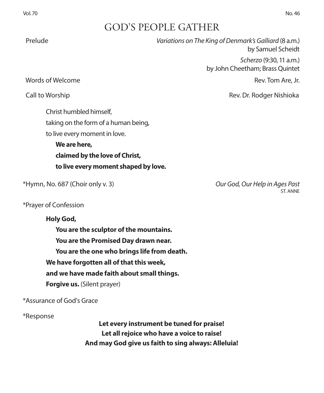# GOD'S PEOPLE GATHER

| Prelude                              | Variations on The King of Denmark's Galliard (8 a.m.)<br>by Samuel Scheidt |
|--------------------------------------|----------------------------------------------------------------------------|
|                                      | Scherzo (9:30, 11 a.m.)<br>by John Cheetham; Brass Quintet                 |
| Words of Welcome                     | Rev. Tom Are, Jr.                                                          |
| Call to Worship                      | Rev. Dr. Rodger Nishioka                                                   |
| Christ humbled himself,              |                                                                            |
| taking on the form of a human being, |                                                                            |
| to live every moment in love.        |                                                                            |
| We are here,                         |                                                                            |
| claimed by the love of Christ,       |                                                                            |
| to live every moment shaped by love. |                                                                            |
| *Hymn, No. 687 (Choir only v. 3)     | Our God, Our Help in Ages Past                                             |

\*Prayer of Confession

#### **Holy God,**

**You are the sculptor of the mountains. You are the Promised Day drawn near. You are the one who brings life from death. We have forgotten all of that this week, and we have made faith about small things. Forgive us.** (Silent prayer)

\*Assurance of God's Grace

\*Response

**Let every instrument be tuned for praise! Let all rejoice who have a voice to raise! And may God give us faith to sing always: Alleluia!**

ST ANNE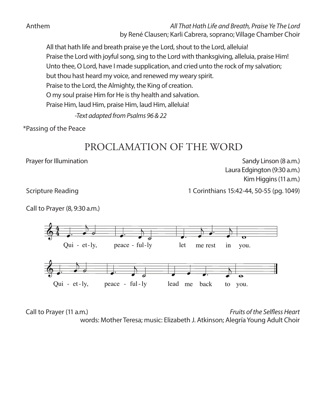Anthem *All That Hath Life and Breath, Praise Ye The Lord* by René Clausen; Karli Cabrera, soprano; Village Chamber Choir

All that hath life and breath praise ye the Lord, shout to the Lord, alleluia! Praise the Lord with joyful song, sing to the Lord with thanksgiving, alleluia, praise Him! Unto thee, O Lord, have I made supplication, and cried unto the rock of my salvation; but thou hast heard my voice, and renewed my weary spirit. Praise to the Lord, the Almighty, the King of creation. O my soul praise Him for He is thy health and salvation. Praise Him, laud Him, praise Him, laud Him, alleluia!

*-Text adapted from Psalms 96 & 22*

\*Passing of the Peace

# PROCLAMATION OF THE WORD

Prayer for Illumination **Sandy Linson (8 a.m.)** Sandy Linson (8 a.m.) Laura Edgington (9:30 a.m.) Kim Higgins (11 a.m.)

Scripture Reading 15:42-44, 50-55 (pg. 1049)

Call to Prayer (8, 9:30 a.m.)



� � � � � words: Mother Teresa; music: Elizabeth J. Atkinson; Alegría Young Adult Choir $\mathcal{F}$   $\mathcal{F}$ strayed, Call to Prayer (11 a.m.) *Fruits of the Selfless Heart*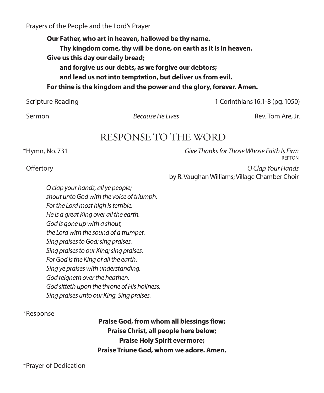Prayers of the People and the Lord's Prayer

**Our Father, who art in heaven, hallowed be thy name. Thy kingdom come, thy will be done, on earth as it is in heaven. Give us this day our daily bread; and forgive us our debts, as we forgive our debtors; and lead us not into temptation, but deliver us from evil. For thine is the kingdom and the power and the glory, forever. Amen.**

Scripture Reading 1 Corinthians 16:1-8 (pg. 1050)

Sermon *Because He Lives* Rev. Tom Are, Jr.

## RESPONSE TO THE WORD

\*Hymn, No. 731 *Give Thanks for Those Whose Faith Is Firm* REPTON Offertory *O Clap Your Hands*

by R. Vaughan Williams; Village Chamber Choir

*O clap your hands, all ye people; shout unto God with the voice of triumph. For the Lord most high is terrible. He is a great King over all the earth. God is gone up with a shout, the Lord with the sound of a trumpet. Sing praises to God; sing praises. Sing praises to our King; sing praises. For God is the King of all the earth. Sing ye praises with understanding. God reigneth over the heathen. God sitteth upon the throne of His holiness. Sing praises unto our King. Sing praises.*

\*Response

**Praise God, from whom all blessings flow; Praise Christ, all people here below; Praise Holy Spirit evermore; Praise Triune God, whom we adore. Amen.**

\*Prayer of Dedication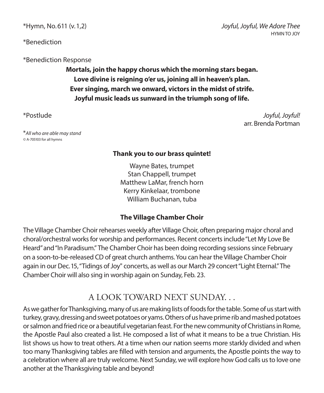\*Benediction

\*Benediction Response

**Mortals, join the happy chorus which the morning stars began. Love divine is reigning o'er us, joining all in heaven's plan. Ever singing, march we onward, victors in the midst of strife. Joyful music leads us sunward in the triumph song of life.**

\**All who are able may stand ©* A-705103 for all hymns

### **Thank you to our brass quintet!**

Wayne Bates, trumpet Stan Chappell, trumpet Matthew LaMar, french horn Kerry Kinkelaar, trombone William Buchanan, tuba

#### **The Village Chamber Choir**

The Village Chamber Choir rehearses weekly after Village Choir, often preparing major choral and choral/orchestral works for worship and performances. Recent concerts include "Let My Love Be Heard" and "In Paradisum." The Chamber Choir has been doing recording sessions since February on a soon-to-be-released CD of great church anthems. You can hear the Village Chamber Choir again in our Dec. 15, "Tidings of Joy" concerts, as well as our March 29 concert "Light Eternal." The Chamber Choir will also sing in worship again on Sunday, Feb. 23.

## A LOOK TOWARD NEXT SUNDAY. . .

As we gather for Thanksgiving, many of us are making lists of foods for the table. Some of us start with turkey, gravy, dressing and sweet potatoes or yams. Others of us have prime rib and mashed potatoes or salmon and fried rice or a beautiful vegetarian feast. For the new community of Christians in Rome, the Apostle Paul also created a list. He composed a list of what it means to be a true Christian. His list shows us how to treat others. At a time when our nation seems more starkly divided and when too many Thanksgiving tables are filled with tension and arguments, the Apostle points the way to a celebration where all are truly welcome. Next Sunday, we will explore how God calls us to love one another at the Thanksgiving table and beyond!

\*Postlude *Joyful, Joyful!* arr. Brenda Portman

\*Hymn, No. 611 (v. 1,2) *Joyful, Joyful, We Adore Thee* HYMN TO JOY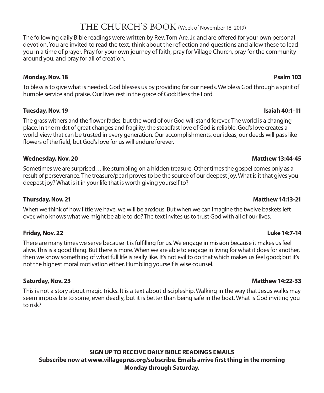### THE CHURCH'S BOOK (Week of November 18, 2019)

The following daily Bible readings were written by Rev. Tom Are, Jr. and are offered for your own personal devotion. You are invited to read the text, think about the reflection and questions and allow these to lead you in a time of prayer. Pray for your own journey of faith, pray for Village Church, pray for the community around you, and pray for all of creation.

#### **Monday, Nov. 18 Psalm 103**

To bless is to give what is needed. God blesses us by providing for our needs. We bless God through a spirit of humble service and praise. Our lives rest in the grace of God: Bless the Lord.

#### **Tuesday, Nov. 19 Isaiah 40:1-11**

The grass withers and the flower fades, but the word of our God will stand forever. The world is a changing place. In the midst of great changes and fragility, the steadfast love of God is reliable. God's love creates a world-view that can be trusted in every generation. Our accomplishments, our ideas, our deeds will pass like flowers of the field, but God's love for us will endure forever.

#### **Wednesday, Nov. 20 Matthew 13:44-45**

Sometimes we are surprised…like stumbling on a hidden treasure. Other times the gospel comes only as a result of perseverance. The treasure/pearl proves to be the source of our deepest joy. What is it that gives you deepest joy? What is it in your life that is worth giving yourself to?

When we think of how little we have, we will be anxious. But when we can imagine the twelve baskets left over, who knows what we might be able to do? The text invites us to trust God with all of our lives.

#### **Friday, Nov. 22 Luke 14:7-14**

There are many times we serve because it is fulfilling for us. We engage in mission because it makes us feel alive. This is a good thing. But there is more. When we are able to engage in living for what it does for another, then we know something of what full life is really like. It's not evil to do that which makes us feel good; but it's not the highest moral motivation either. Humbling yourself is wise counsel.

This is not a story about magic tricks. It is a text about discipleship. Walking in the way that Jesus walks may seem impossible to some, even deadly, but it is better than being safe in the boat. What is God inviting you to risk?

**SIGN UP TO RECEIVE DAILY BIBLE READINGS EMAILS Subscribe now at www.villagepres.org/subscribe. Emails arrive first thing in the morning Monday through Saturday.**

#### **Thursday, Nov. 21 Matthew 14:13-21 Matthew 14:13-21**

#### **Saturday, Nov. 23 Matthew 14:22-33**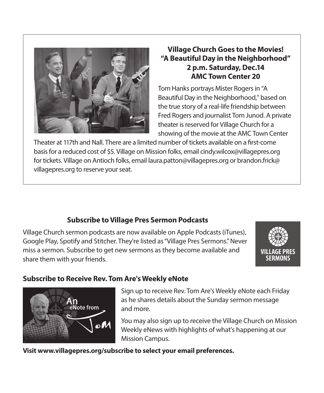

### **Village Church Goes to the Movies! "A Beautiful Day in the Neighborhood" 2 p.m. Saturday, Dec.14 AMC Town Center 20**

Tom Hanks portrays Mister Rogers in "A Beautiful Day in the Neighborhood," based on the true story of a real-life friendship between Fred Rogers and journalist Tom Junod. A private theater is reserved for Village Church for a showing of the movie at the AMC Town Center

Theater at 117th and Nall. There are a limited number of tickets available on a first-come basis for a reduced cost of \$5. Village on Mission folks, email cindy.wilcox@villagepres.org for tickets. Village on Antioch folks, email laura.patton@villagepres.org or brandon.frick@ villagepres.org to reserve your seat.

### **Subscribe to Village Pres Sermon Podcasts**

Village Church sermon podcasts are now available on Apple Podcasts (iTunes), Google Play, Spotify and Stitcher. They're listed as "Village Pres Sermons." Never miss a sermon. Subscribe to get new sermons as they become available and share them with your friends.



### **Subscribe to Receive Rev. Tom Are's Weekly eNote**



Sign up to receive Rev. Tom Are's Weekly eNote each Friday as he shares details about the Sunday sermon message and more.

You may also sign up to receive the Village Church on Mission Weekly eNews with highlights of what's happening at our Mission Campus.

**Visit www.villagepres.org/subscribe to select your email preferences.**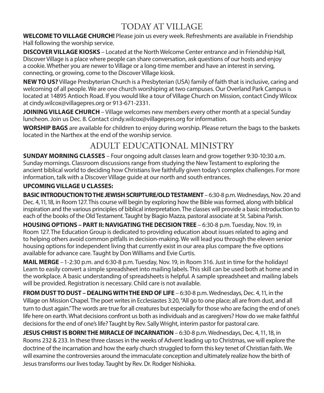# TODAY AT VILLAGE

**WELCOME TO VILLAGE CHURCH!** Please join us every week. Refreshments are available in Friendship Hall following the worship service.

**DISCOVER VILLAGE KIOSKS** – Located at the North Welcome Center entrance and in Friendship Hall, Discover Village is a place where people can share conversation, ask questions of our hosts and enjoy a cookie. Whether you are newer to Village or a long-time member and have an interest in serving, connecting, or growing, come to the Discover Village kiosk.

**NEW TO US?** Village Presbyterian Church is a Presbyterian (USA) family of faith that is inclusive, caring and welcoming of all people. We are one church worshiping at two campuses. Our Overland Park Campus is located at 14895 Antioch Road. If you would like a tour of Village Church on Mission, contact Cindy Wilcox at cindy.wilcox@villagepres.org or 913-671-2331.

**JOINING VILLAGE CHURCH** – Village welcomes new members every other month at a special Sunday luncheon. Join us Dec. 8. Contact cindy.wilcox@villagepres.org for information.

**WORSHIP BAGS** are available for children to enjoy during worship. Please return the bags to the baskets located in the Narthex at the end of the worship service.

# ADULT EDUCATIONAL MINISTRY

**SUNDAY MORNING CLASSES** – Four ongoing adult classes learn and grow together 9:30-10:30 a.m. Sunday mornings. Classroom discussions range from studying the New Testament to exploring the ancient biblical world to deciding how Christians live faithfully given today's complex challenges. For more information, talk with a Discover Village guide at our north and south entrances.

#### **UPCOMING VILLAGE U CLASSES:**

**BASIC INTRODUCTION TO THE JEWISH SCRIPTURE/OLD TESTAMENT** – 6:30-8 p.m. Wednesdays, Nov. 20 and Dec. 4, 11, 18, in Room 127. This course will begin by exploring how the Bible was formed, along with biblical inspiration and the various principles of biblical interpretation. The classes will provide a basic introduction to each of the books of the Old Testament. Taught by Biagio Mazza, pastoral associate at St. Sabina Parish.

**HOUSING OPTIONS – PART II: NAVIGATING THE DECISION TREE** – 6:30-8 p.m. Tuesday, Nov. 19, in Room 127. The Education Group is dedicated to providing education about issues related to aging and to helping others avoid common pitfalls in decision-making. We will lead you through the eleven senior housing options for independent living that currently exist in our area plus compare the five options available for advance care. Taught by Don Williams and Evie Curtis.

**MAIL MERGE** – 1-2:30 p.m. and 6:30-8 p.m. Tuesday, Nov. 19, in Room 316. Just in time for the holidays! Learn to easily convert a simple spreadsheet into mailing labels. This skill can be used both at home and in the workplace. A basic understanding of spreadsheets is helpful. A sample spreadsheet and mailing labels will be provided. Registration is necessary. Child care is not available.

**FROM DUST TO DUST – DEALING WITH THE END OF LIFE** – 6:30-8 p.m. Wednesdays, Dec. 4, 11, in the Village on Mission Chapel. The poet writes in Ecclesiastes 3:20, "All go to one place; all are from dust, and all turn to dust again." The words are true for all creatures but especially for those who are facing the end of one's life here on earth. What decisions confront us both as individuals and as caregivers? How do we make faithful decisions for the end of one's life? Taught by Rev. Sally Wright, interim pastor for pastoral care.

**JESUS CHRIST IS BORN! THE MIRACLE OF INCARNATION** – 6:30-8 p.m. Wednesdays, Dec. 4, 11, 18, in Rooms 232 & 233. In these three classes in the weeks of Advent leading up to Christmas, we will explore the doctrine of the incarnation and how the early church struggled to form this key tenet of Christian faith. We will examine the controversies around the immaculate conception and ultimately realize how the birth of Jesus transforms our lives today. Taught by Rev. Dr. Rodger Nishioka.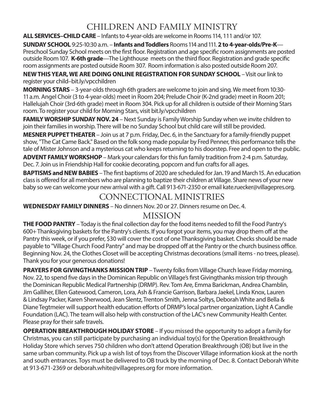# CHILDREN AND FAMILY MINISTRY

**ALL SERVICES–CHILD CARE** – Infants to 4-year-olds are welcome in Rooms 114, 111 and/or 107.

**SUNDAY SCHOOL** 9:25-10:30 a.m. – **Infants and Toddlers** Rooms 114 and 111. **2 to 4-year-olds/Pre-K**— Preschool Sunday School meets on the first floor. Registration and age specific room assignments are posted outside Room 107. **K-6th grade**—The Lighthouse meets on the third floor. Registration and grade specific room assignments are posted outside Room 307. Room information is also posted outside Room 207.

**NEW THIS YEAR, WE ARE DOING ONLINE REGISTRATION FOR SUNDAY SCHOOL** – Visit our link to register your child–bit.ly/vpcchildren

**MORNING STARS** – 3-year-olds through 6th graders are welcome to join and sing. We meet from 10:30- 11 a.m. Angel Choir (3 to 4-year-olds) meet in Room 204; Prelude Choir (K-2nd grade) meet in Room 201; Hallelujah Choir (3rd-6th grade) meet in Room 304. Pick up for all children is outside of their Morning Stars room. To register your child for Morning Stars, visit bit.ly/vpcchildren

**FAMILY WORSHIP SUNDAY NOV. 24** – Next Sunday is Family Worship Sunday when we invite children to join their families in worship. There will be no Sunday School but child care will still be provided.

**MESNER PUPPET THEATER** – Join us at 7 p.m. Friday, Dec. 6, in the Sanctuary for a family-friendly puppet show, "The Cat Came Back." Based on the folk song made popular by Fred Penner, this performance tells the tale of Mister Johnson and a mysterious cat who keeps returning to his doorstep. Free and open to the public.

**ADVENT FAMILY WORKSHOP** – Mark your calendars for this fun family tradition from 2-4 p.m. Saturday, Dec. 7. Join us in Friendship Hall for cookie decorating, popcorn and fun crafts for all ages.

**BAPTISMS and NEW BABIES** – The first baptisms of 2020 are scheduled for Jan. 19 and March 15. An education class is offered for all members who are planning to baptize their children at Village. Share news of your new baby so we can welcome your new arrival with a gift. Call 913-671-2350 or email kate.ruecker@villagepres.org.

## CONNECTIONAL MINISTRIES

**WEDNESDAY FAMILY DINNERS** – No dinners Nov. 20 or 27. Dinners resume on Dec. 4.

## MISSION

**THE FOOD PANTRY** – Today is the final collection day for the food items needed to fill the Food Pantry's 600+ Thanksgiving baskets for the Pantry's clients. If you forgot your items, you may drop them off at the Pantry this week, or if you prefer, \$30 will cover the cost of one Thanksgiving basket. Checks should be made payable to "Village Church Food Pantry" and may be dropped off at the Pantry or the church business office. Beginning Nov. 24, the Clothes Closet will be accepting Christmas decorations (small items - no trees, please). Thank you for your generous donations!

**PRAYERS FOR GIVINGTHANKS MISSION TRIP** – Twenty folks from Village Church leave Friday morning, Nov. 22, to spend five days in the Dominican Republic on Village's first Givingthanks mission trip through the Dominican Republic Medical Partnership (DRMP). Rev. Tom Are, Emma Barickman, Andrea Chamblin, Jim Galliher, Ellen Gatewood, Cameron, Lora, Ash & Francie Garrison, Barbara Jaekel, Linda Knox, Lauren & Lindsay Packer, Karen Sherwood, Jean Slentz, Trenton Smith, Jenna Soltys, Deborah White and Bella & Diane Tegtmeier will support health education efforts of DRMP's local partner organization, Light A Candle Foundation (LAC). The team will also help with construction of the LAC's new Community Health Center. Please pray for their safe travels.

**OPERATION BREAKTHROUGH HOLIDAY STORE** – If you missed the opportunity to adopt a family for Christmas, you can still participate by purchasing an individual toy(s) for the Operation Breakthrough Holiday Store which serves 750 children who don't attend Operation Breakthrough (OB) but live in the same urban community. Pick up a wish list of toys from the Discover Village information kiosk at the north and south entrances. Toys must be delivered to OB truck by the morning of Dec. 8. Contact Deborah White at 913-671-2369 or deborah.white@villagepres.org for more information.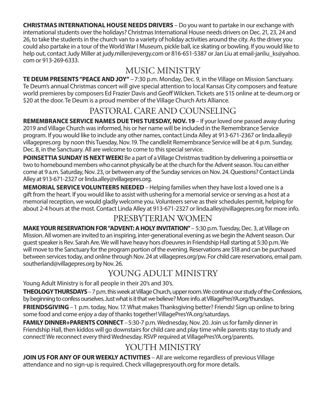**CHRISTMAS INTERNATIONAL HOUSE NEEDS DRIVERS** – Do you want to partake in our exchange with international students over the holidays? Christmas International House needs drivers on Dec. 21, 23, 24 and 26, to take the students in the church van to a variety of holiday activities around the city. As the driver you could also partake in a tour of the World War I Museum, pickle ball, ice skating or bowling. If you would like to help out, contact Judy Miller at judy.miller@evergy.com or 816-651-5387 or Jan Liu at email-janliu ks@yahoo. com or 913-269-6333.

# MUSIC MINISTRY

**TE DEUM PRESENTS "PEACE AND JOY"** –7:30 p.m. Monday, Dec. 9, in the Village on Mission Sanctuary. Te Deum's annual Christmas concert will give special attention to local Kansas City composers and feature world premieres by composers Ed Frazier Davis and Geoff Wilcken. Tickets are \$15 online at te-deum.org or \$20 at the door. Te Deum is a proud member of the Village Church Arts Alliance.

# PASTORAL CARE AND COUNSELING

**REMEMBRANCE SERVICE NAMES DUE THIS TUESDAY, NOV. 19 – If your loved one passed away during** 2019 and Village Church was informed, his or her name will be included in the Remembrance Service program. If you would like to include any other names, contact Linda Alley at 913-671-2367 or linda.alley@ villagepres.org by noon this Tuesday, Nov. 19. The candlelit Remembrance Service will be at 4 p.m. Sunday, Dec. 8, in the Sanctuary. All are welcome to come to this special service.

**POINSETTIA SUNDAY IS NEXT WEEK!** Be a part of a Village Christmas tradition by delivering a poinsettia or two to homebound members who cannot physically be at the church for the Advent season. You can either come at 9 a.m. Saturday, Nov. 23, or between any of the Sunday services on Nov. 24. Questions? Contact Linda Alley at 913-671-2327 or linda.alley@villagepres.org.

**MEMORIAL SERVICE VOLUNTEERS NEEDED** – Helping families when they have lost a loved one is a gift from the heart. If you would like to assist with ushering for a memorial service or serving as a host at a memorial reception, we would gladly welcome you. Volunteers serve as their schedules permit, helping for about 2-4 hours at the most. Contact Linda Alley at 913-671-2327 or linda.alley@villagepres.org for more info.

## PRESBYTERIAN WOMEN

**MAKE YOUR RESERVATION FOR "ADVENT: A HOLY INVITATION"** – 5:30 p.m. Tuesday, Dec. 3, at Village on Mission. All women are invited to an inspiring, inter-generational evening as we begin the Advent season. Our guest speaker is Rev. Sarah Are. We will have heavy hors d'oeuvres in Friendship Hall starting at 5:30 p.m. We will move to the Sanctuary for the program portion of the evening. Reservations are \$18 and can be purchased between services today, and online through Nov. 24 at villagepres.org/pw. For child care reservations, email pam. southerland@villagepres.org by Nov. 26.

# YOUNG ADULT MINISTRY

Young Adult Ministry is for all people in their 20's and 30's.

**THEOLOGY THURSDAYS**– 7 p.m. this week at Village Church, upper room. We continue our study of the Confessions, by beginning to confess ourselves. Just what is it that we believe? More info. at VillagePresYA.org/thursdays. **FRIENDSGIVING** – 1 p.m. today, Nov. 17. What makes Thanksgiving better? Friends! Sign up online to bring some food and come enjoy a day of thanks together! VillagePresYA.org/saturdays.

**FAMILY DINNER+PARENTS CONNECT** – 5:30-7 p.m. Wednesday, Nov. 20. Join us for family dinner in Friendship Hall, then kiddos will go downstairs for child care and play time while parents stay to study and connect! We reconnect every third Wednesday. RSVP required at VillagePresYA.org/parents.

## YOUTH MINISTRY

**JOIN US FOR ANY OF OUR WEEKLY ACTIVITIES** – All are welcome regardless of previous Village attendance and no sign-up is required. Check villagepresyouth.org for more details.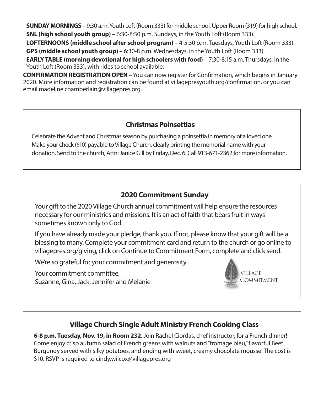**SUNDAY MORNINGS** – 9:30 a.m. Youth Loft (Room 333) for middle school, Upper Room (319) for high school. **SNL (high school youth group)** – 6:30-8:30 p.m. Sundays, in the Youth Loft (Room 333).

**LOFTERNOONS (middle school after school program)** – 4-5:30 p.m. Tuesdays, Youth Loft (Room 333). **GPS (middle school youth group)** – 6:30-8 p.m. Wednesdays, in the Youth Loft (Room 333).

**EARLY TABLE (morning devotional for high schoolers with food)** – 7:30-8:15 a.m. Thursdays, in the Youth Loft (Room 333), with rides to school available.

**CONFIRMATION REGISTRATION OPEN** – You can now register for Confirmation, which begins in January 2020. More information and registration can be found at villagepresyouth.org/confirmation, or you can email madeline.chamberlain@villagepres.org.

### **Christmas Poinsettias**

Celebrate the Advent and Christmas season by purchasing a poinsettia in memory of a loved one. Make your check (\$10) payable to Village Church, clearly printing the memorial name with your donation. Send to the church, Attn: Janice Gill by Friday, Dec. 6. Call 913-671-2362 for more information.

### **2020 Commitment Sunday**

Your gift to the 2020 Village Church annual commitment will help ensure the resources necessary for our ministries and missions. It is an act of faith that bears fruit in ways sometimes known only to God.

If you have already made your pledge, thank you. If not, please know that your gift will be a blessing to many. Complete your commitment card and return to the church or go online to villagepres.org/giving, click on Continue to Commitment Form, complete and click send.

We're so grateful for your commitment and generosity.

Your commitment committee, Suzanne, Gina, Jack, Jennifer and Melanie



## **Village Church Single Adult Ministry French Cooking Class**

**6-8 p.m. Tuesday, Nov. 19, in Room 232**. Join Rachel Ciordas, chef instructor, for a French dinner! Come enjoy crisp autumn salad of French greens with walnuts and "fromage bleu," flavorful Beef Burgundy served with silky potatoes, and ending with sweet, creamy chocolate mousse! The cost is \$10. RSVP is required to cindy.wilcox@villagepres.org